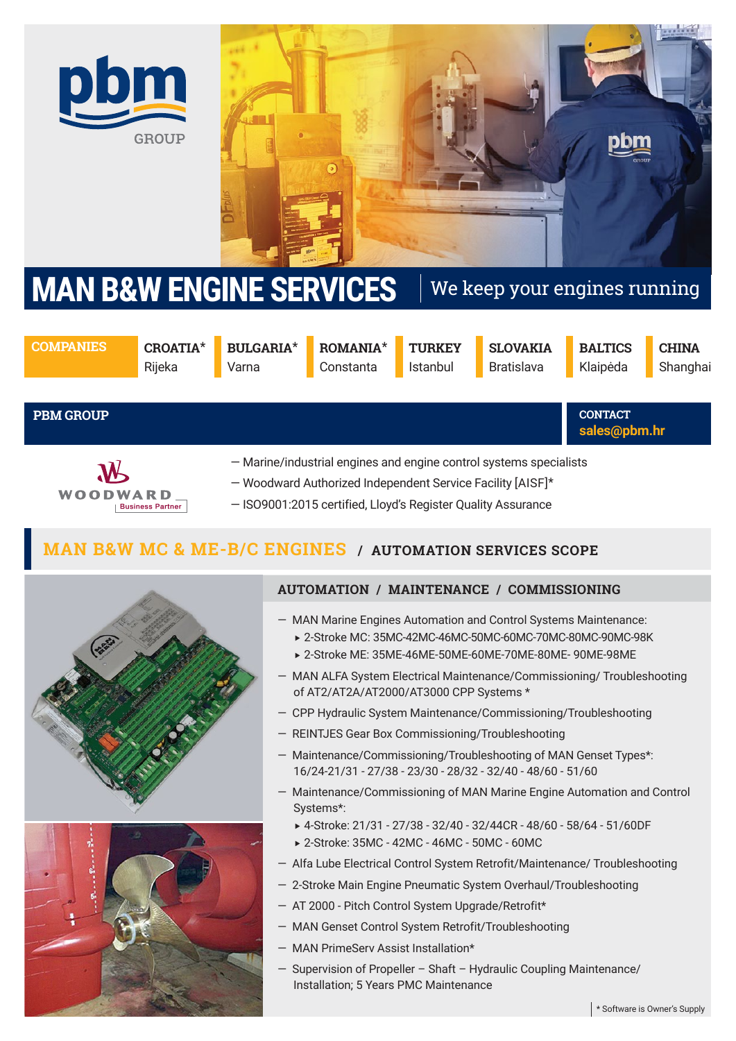



# **MAN B&W ENGINE SERVICES** We keep your engines running

**COMPANIES CROATIA**\*

Rijeka

**BULGARIA**\* Varna

**ROMANIA**\* Constanta

**TURKEY** Istanbul

**SLOVAKIA** Bratislava

**BALTICS** Klaipėda

**sales@pbm.hr CONTACT** 

**CHINA Shanghai** 

**PBM GROUP**



— Marine/industrial engines and engine control systems specialists

- Woodward Authorized Independent Service Facility [AISF]\*
- ISO9001:2015 certified, Lloyd's Register Quality Assurance

#### **MAN B&W MC & ME-B/C ENGINES / AUTOMATION SERVICES SCOPE**





# **AUTOMATION / MAINTENANCE / COMMISSIONING**

- MAN Marine Engines Automation and Control Systems Maintenance:
	- 2-Stroke MC: 35MC-42MC-46MC-50MC-60MC-70MC-80MC-90MC-98K
	- 2-Stroke ME: 35ME-46ME-50ME-60ME-70ME-80ME- 90ME-98ME
- MAN ALFA System Electrical Maintenance/Commissioning/ Troubleshooting of AT2/AT2A/AT2000/AT3000 CPP Systems \*
- CPP Hydraulic System Maintenance/Commissioning/Troubleshooting
- REINTJES Gear Box Commissioning/Troubleshooting
- Maintenance/Commissioning/Troubleshooting of MAN Genset Types\*: 16/24-21/31 - 27/38 - 23/30 - 28/32 - 32/40 - 48/60 - 51/60
- Maintenance/Commissioning of MAN Marine Engine Automation and Control Systems\*:
	- 4-Stroke: 21/31 27/38 32/40 32/44CR 48/60 58/64 51/60DF
	- 2-Stroke: 35MC 42MC 46MC 50MC 60MC
- Alfa Lube Electrical Control System Retrofit/Maintenance/ Troubleshooting
- 2-Stroke Main Engine Pneumatic System Overhaul/Troubleshooting
- AT 2000 Pitch Control System Upgrade/Retrofit\*
- MAN Genset Control System Retrofit/Troubleshooting
- MAN PrimeServ Assist Installation\*
- Supervision of Propeller Shaft Hydraulic Coupling Maintenance/ Installation; 5 Years PMC Maintenance